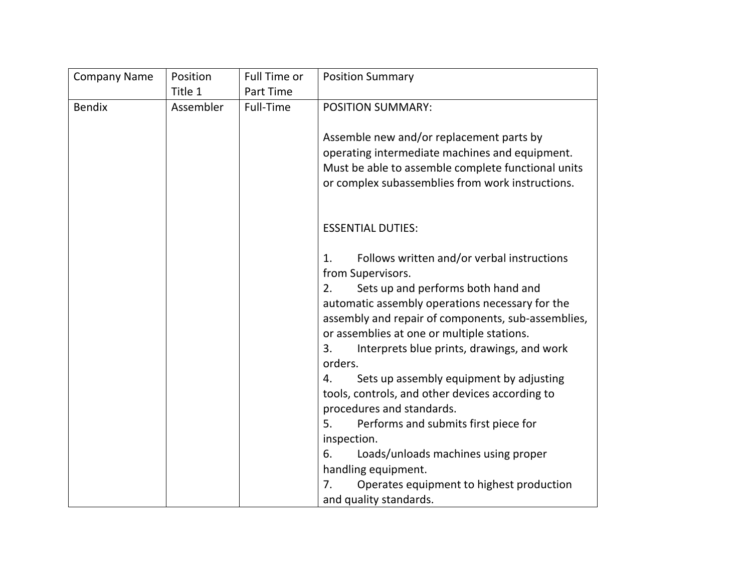| <b>Company Name</b> | Position  | Full Time or | <b>Position Summary</b>                                                                                                                                                                                                                                                                                                                                                                                                                     |
|---------------------|-----------|--------------|---------------------------------------------------------------------------------------------------------------------------------------------------------------------------------------------------------------------------------------------------------------------------------------------------------------------------------------------------------------------------------------------------------------------------------------------|
|                     | Title 1   | Part Time    |                                                                                                                                                                                                                                                                                                                                                                                                                                             |
| <b>Bendix</b>       | Assembler | Full-Time    | <b>POSITION SUMMARY:</b>                                                                                                                                                                                                                                                                                                                                                                                                                    |
|                     |           |              | Assemble new and/or replacement parts by<br>operating intermediate machines and equipment.<br>Must be able to assemble complete functional units<br>or complex subassemblies from work instructions.                                                                                                                                                                                                                                        |
|                     |           |              | <b>ESSENTIAL DUTIES:</b>                                                                                                                                                                                                                                                                                                                                                                                                                    |
|                     |           |              | Follows written and/or verbal instructions<br>1.<br>from Supervisors.<br>Sets up and performs both hand and<br>2.<br>automatic assembly operations necessary for the<br>assembly and repair of components, sub-assemblies,<br>or assemblies at one or multiple stations.<br>Interprets blue prints, drawings, and work<br>3.<br>orders.<br>Sets up assembly equipment by adjusting<br>4.<br>tools, controls, and other devices according to |
|                     |           |              | procedures and standards.<br>Performs and submits first piece for<br>5.                                                                                                                                                                                                                                                                                                                                                                     |
|                     |           |              | inspection.                                                                                                                                                                                                                                                                                                                                                                                                                                 |
|                     |           |              | Loads/unloads machines using proper<br>6.                                                                                                                                                                                                                                                                                                                                                                                                   |
|                     |           |              | handling equipment.                                                                                                                                                                                                                                                                                                                                                                                                                         |
|                     |           |              | 7.<br>Operates equipment to highest production<br>and quality standards.                                                                                                                                                                                                                                                                                                                                                                    |
|                     |           |              |                                                                                                                                                                                                                                                                                                                                                                                                                                             |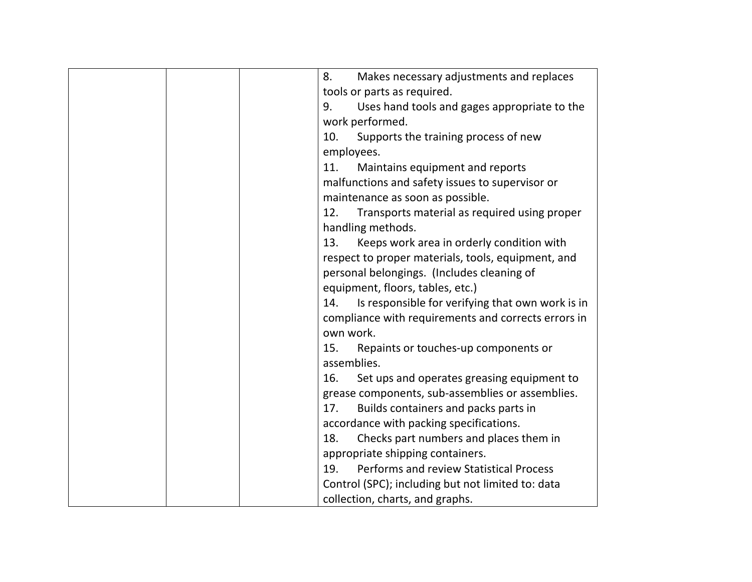| Makes necessary adjustments and replaces<br>8.          |
|---------------------------------------------------------|
| tools or parts as required.                             |
| Uses hand tools and gages appropriate to the<br>9.      |
| work performed.                                         |
| 10.<br>Supports the training process of new             |
| employees.                                              |
| 11.<br>Maintains equipment and reports                  |
| malfunctions and safety issues to supervisor or         |
| maintenance as soon as possible.                        |
| 12.<br>Transports material as required using proper     |
| handling methods.                                       |
| 13.<br>Keeps work area in orderly condition with        |
| respect to proper materials, tools, equipment, and      |
| personal belongings. (Includes cleaning of              |
| equipment, floors, tables, etc.)                        |
| Is responsible for verifying that own work is in<br>14. |
| compliance with requirements and corrects errors in     |
| own work.                                               |
| 15.<br>Repaints or touches-up components or             |
| assemblies.                                             |
| Set ups and operates greasing equipment to<br>16.       |
| grease components, sub-assemblies or assemblies.        |
| Builds containers and packs parts in<br>17.             |
| accordance with packing specifications.                 |
| Checks part numbers and places them in<br>18.           |
| appropriate shipping containers.                        |
| <b>Performs and review Statistical Process</b><br>19.   |
| Control (SPC); including but not limited to: data       |
| collection, charts, and graphs.                         |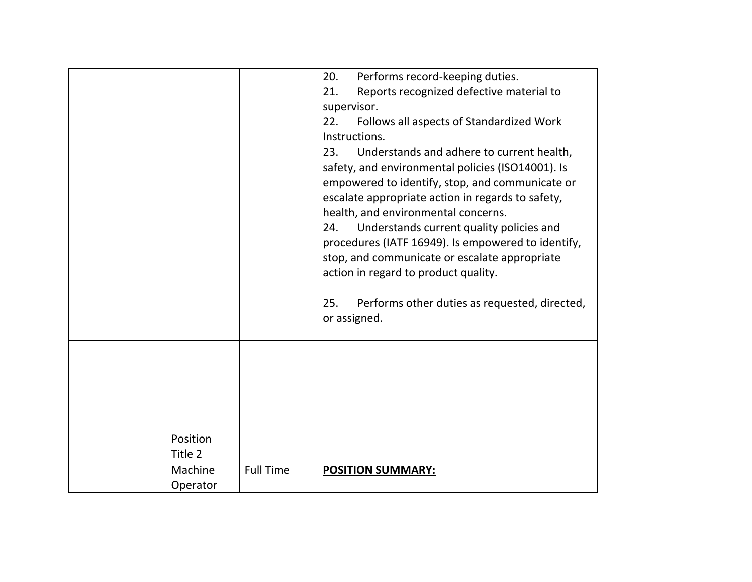|          |                  | 20.<br>Performs record-keeping duties.               |
|----------|------------------|------------------------------------------------------|
|          |                  | Reports recognized defective material to<br>21.      |
|          |                  | supervisor.                                          |
|          |                  | 22.<br>Follows all aspects of Standardized Work      |
|          |                  | Instructions.                                        |
|          |                  | Understands and adhere to current health,<br>23.     |
|          |                  | safety, and environmental policies (ISO14001). Is    |
|          |                  | empowered to identify, stop, and communicate or      |
|          |                  | escalate appropriate action in regards to safety,    |
|          |                  | health, and environmental concerns.                  |
|          |                  | Understands current quality policies and<br>24.      |
|          |                  | procedures (IATF 16949). Is empowered to identify,   |
|          |                  | stop, and communicate or escalate appropriate        |
|          |                  | action in regard to product quality.                 |
|          |                  |                                                      |
|          |                  | 25.<br>Performs other duties as requested, directed, |
|          |                  | or assigned.                                         |
|          |                  |                                                      |
|          |                  |                                                      |
|          |                  |                                                      |
|          |                  |                                                      |
|          |                  |                                                      |
|          |                  |                                                      |
|          |                  |                                                      |
|          |                  |                                                      |
| Position |                  |                                                      |
| Title 2  |                  |                                                      |
| Machine  | <b>Full Time</b> | <b>POSITION SUMMARY:</b>                             |
| Operator |                  |                                                      |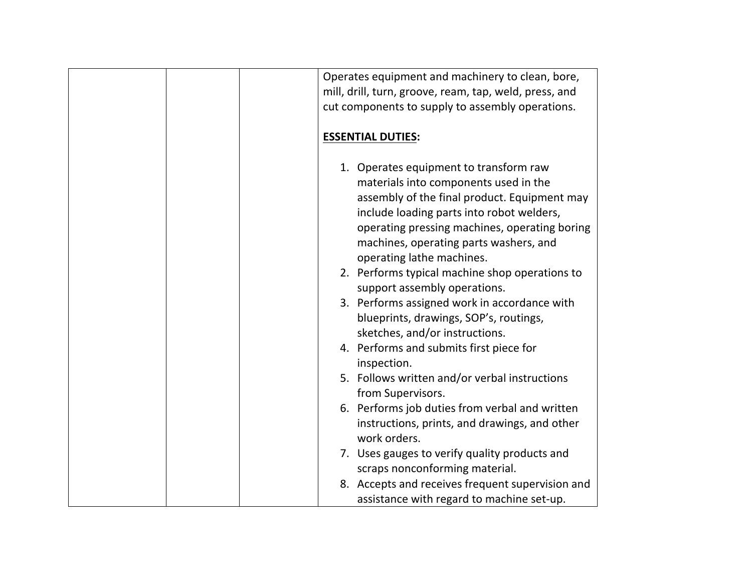| Operates equipment and machinery to clean, bore,<br>mill, drill, turn, groove, ream, tap, weld, press, and<br>cut components to supply to assembly operations.                                                                                                                                                                                                                                                                                                                   |
|----------------------------------------------------------------------------------------------------------------------------------------------------------------------------------------------------------------------------------------------------------------------------------------------------------------------------------------------------------------------------------------------------------------------------------------------------------------------------------|
| <b>ESSENTIAL DUTIES:</b>                                                                                                                                                                                                                                                                                                                                                                                                                                                         |
| 1. Operates equipment to transform raw<br>materials into components used in the<br>assembly of the final product. Equipment may<br>include loading parts into robot welders,<br>operating pressing machines, operating boring<br>machines, operating parts washers, and<br>operating lathe machines.<br>2. Performs typical machine shop operations to<br>support assembly operations.<br>3. Performs assigned work in accordance with<br>blueprints, drawings, SOP's, routings, |
| sketches, and/or instructions.<br>4. Performs and submits first piece for                                                                                                                                                                                                                                                                                                                                                                                                        |
| inspection.<br>5. Follows written and/or verbal instructions<br>from Supervisors.                                                                                                                                                                                                                                                                                                                                                                                                |
| 6. Performs job duties from verbal and written<br>instructions, prints, and drawings, and other<br>work orders.                                                                                                                                                                                                                                                                                                                                                                  |
| 7. Uses gauges to verify quality products and<br>scraps nonconforming material.                                                                                                                                                                                                                                                                                                                                                                                                  |
| 8. Accepts and receives frequent supervision and<br>assistance with regard to machine set-up.                                                                                                                                                                                                                                                                                                                                                                                    |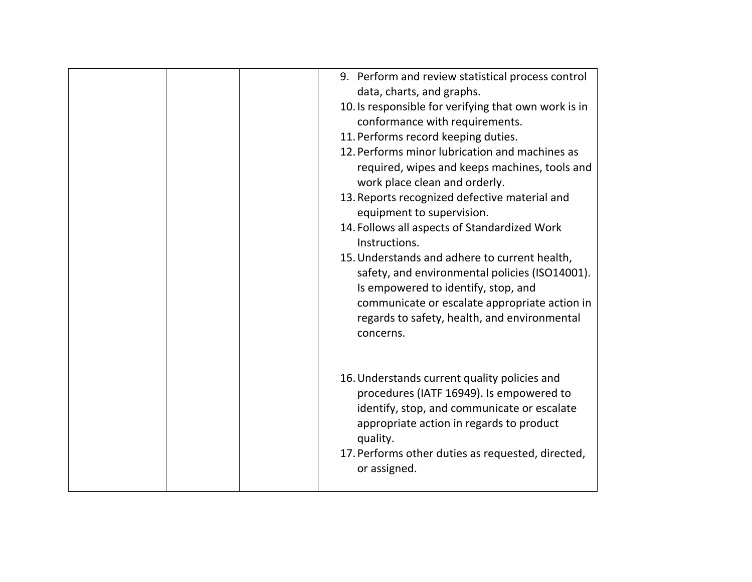| 9. Perform and review statistical process control<br>data, charts, and graphs.<br>10. Is responsible for verifying that own work is in<br>conformance with requirements.<br>11. Performs record keeping duties.<br>12. Performs minor lubrication and machines as |
|-------------------------------------------------------------------------------------------------------------------------------------------------------------------------------------------------------------------------------------------------------------------|
| required, wipes and keeps machines, tools and<br>work place clean and orderly.<br>13. Reports recognized defective material and<br>equipment to supervision.                                                                                                      |
| 14. Follows all aspects of Standardized Work<br>Instructions.                                                                                                                                                                                                     |
| 15. Understands and adhere to current health,<br>safety, and environmental policies (ISO14001).<br>Is empowered to identify, stop, and<br>communicate or escalate appropriate action in<br>regards to safety, health, and environmental<br>concerns.              |
| 16. Understands current quality policies and<br>procedures (IATF 16949). Is empowered to<br>identify, stop, and communicate or escalate<br>appropriate action in regards to product<br>quality.<br>17. Performs other duties as requested, directed,              |
| or assigned.                                                                                                                                                                                                                                                      |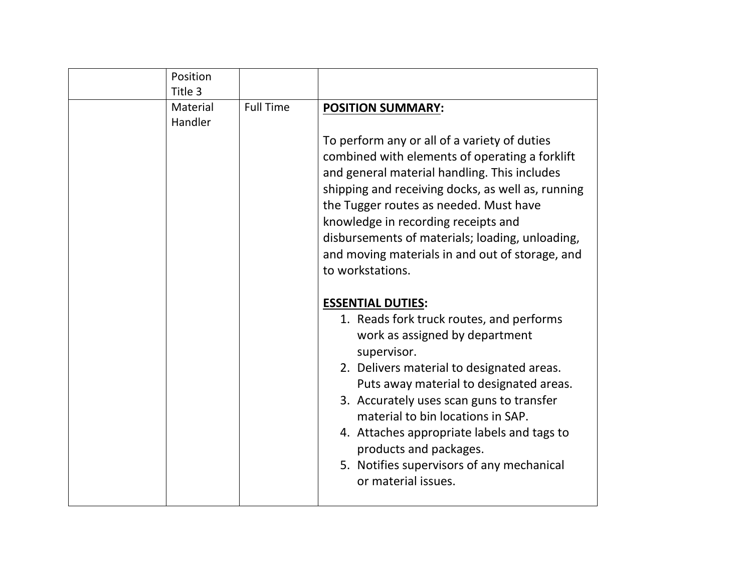| Position |                  |                                                                                                                                                                                                                                                                                                                                                                                                                                                                                        |
|----------|------------------|----------------------------------------------------------------------------------------------------------------------------------------------------------------------------------------------------------------------------------------------------------------------------------------------------------------------------------------------------------------------------------------------------------------------------------------------------------------------------------------|
| Title 3  |                  |                                                                                                                                                                                                                                                                                                                                                                                                                                                                                        |
| Material | <b>Full Time</b> | <b>POSITION SUMMARY:</b>                                                                                                                                                                                                                                                                                                                                                                                                                                                               |
| Handler  |                  |                                                                                                                                                                                                                                                                                                                                                                                                                                                                                        |
|          |                  | To perform any or all of a variety of duties<br>combined with elements of operating a forklift<br>and general material handling. This includes<br>shipping and receiving docks, as well as, running<br>the Tugger routes as needed. Must have<br>knowledge in recording receipts and<br>disbursements of materials; loading, unloading,<br>and moving materials in and out of storage, and<br>to workstations.<br><b>ESSENTIAL DUTIES:</b><br>1. Reads fork truck routes, and performs |
|          |                  | work as assigned by department<br>supervisor.<br>2. Delivers material to designated areas.<br>Puts away material to designated areas.<br>3. Accurately uses scan guns to transfer<br>material to bin locations in SAP.<br>4. Attaches appropriate labels and tags to<br>products and packages.<br>5. Notifies supervisors of any mechanical<br>or material issues.                                                                                                                     |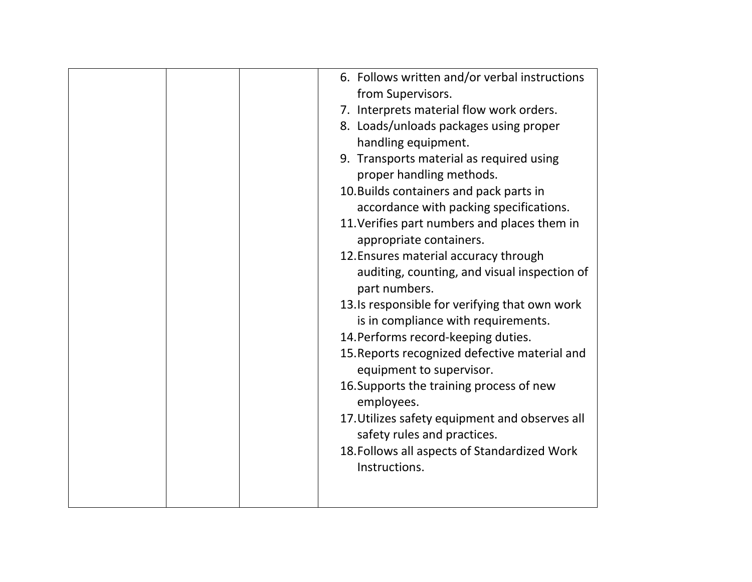| 6. Follows written and/or verbal instructions          |
|--------------------------------------------------------|
| from Supervisors.                                      |
| 7. Interprets material flow work orders.               |
| 8. Loads/unloads packages using proper                 |
| handling equipment.                                    |
| 9. Transports material as required using               |
| proper handling methods.                               |
| 10. Builds containers and pack parts in                |
| accordance with packing specifications.                |
| 11. Verifies part numbers and places them in           |
| appropriate containers.                                |
| 12. Ensures material accuracy through                  |
| auditing, counting, and visual inspection of           |
| part numbers.                                          |
| 13.Is responsible for verifying that own work          |
| is in compliance with requirements.                    |
| 14. Performs record-keeping duties.                    |
| 15. Reports recognized defective material and          |
| equipment to supervisor.                               |
| 16. Supports the training process of new<br>employees. |
| 17. Utilizes safety equipment and observes all         |
| safety rules and practices.                            |
| 18. Follows all aspects of Standardized Work           |
| Instructions.                                          |
|                                                        |
|                                                        |